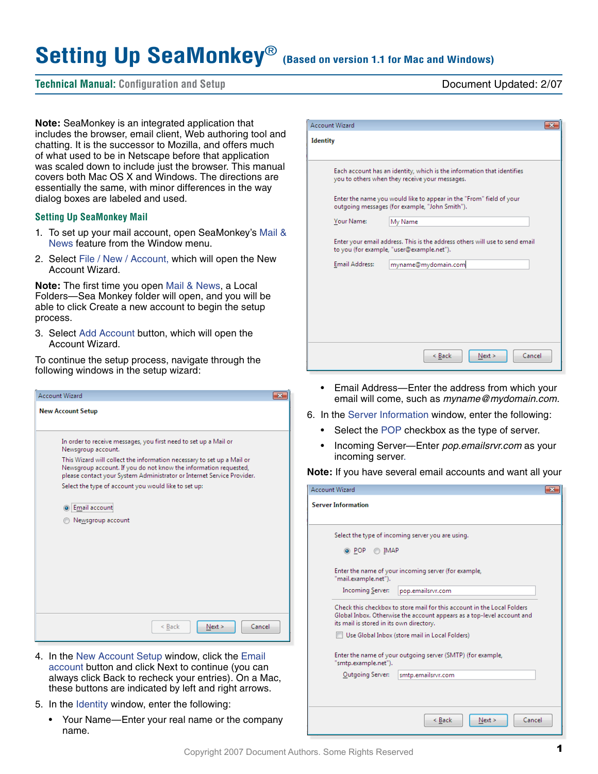# Setting Up SeaMonkey<sup>®</sup> (Based on version 1.1 for Mac and Windows)

# **Technical Manual: Configuration and Setup** Document Updated: 2/07

**Note:** SeaMonkey is an integrated application that includes the browser, email client, Web authoring tool and chatting. It is the successor to Mozilla, and offers much of what used to be in Netscape before that application was scaled down to include just the browser. This manual covers both Mac OS X and Windows. The directions are essentially the same, with minor differences in the way dialog boxes are labeled and used.

### **Setting Up SeaMonkey Mail**

- 1. To set up your mail account, open SeaMonkey's Mail & News feature from the Window menu.
- 2. Select File / New / Account, which will open the New Account Wizard.

**Note:** The first time you open Mail & News, a Local Folders—Sea Monkey folder will open, and you will be able to click Create a new account to begin the setup process.

3. Select Add Account button, which will open the Account Wizard.

To continue the setup process, navigate through the following windows in the setup wizard:



- 4. In the New Account Setup window, click the Email account button and click Next to continue (you can always click Back to recheck your entries). On a Mac, these buttons are indicated by left and right arrows.
- 5. In the Identity window, enter the following:
	- Your Name—Enter your real name or the company name.

| <b>Account Wizard</b>                                                                                                    |        |
|--------------------------------------------------------------------------------------------------------------------------|--------|
| <b>Identity</b>                                                                                                          |        |
| Each account has an identity, which is the information that identifies<br>you to others when they receive your messages. |        |
| Enter the name you would like to appear in the "From" field of your<br>outgoing messages (for example, "John Smith").    |        |
| Your Name:<br>My Name                                                                                                    |        |
| Enter your email address. This is the address others will use to send email<br>to you (for example, "user@example.net"). |        |
| Email Address:<br>myname@mydomain.com                                                                                    |        |
|                                                                                                                          |        |
| < Back<br>Next >                                                                                                         | Cancel |

- Email Address—Enter the address from which your email will come, such as *myname@mydomain.com.*
- 6. In the Server Information window, enter the following:
	- Select the POP checkbox as the type of server.
	- Incoming Server—Enter *pop.emailsrvr.com* as your incoming server.

**Note:** If you have several email accounts and want all your

| <b>Account Wizard</b>                                                                                                                                                                         |  |
|-----------------------------------------------------------------------------------------------------------------------------------------------------------------------------------------------|--|
| <b>Server Information</b>                                                                                                                                                                     |  |
| Select the type of incoming server you are using.<br>◉ POP<br><b>IMAP</b>                                                                                                                     |  |
| Enter the name of your incoming server (for example,<br>"mail.example.net").<br><b>Incoming Server:</b><br>pop.emailsrvr.com                                                                  |  |
| Check this checkbox to store mail for this account in the Local Folders<br>Global Inbox. Otherwise the account appears as a top-level account and<br>its mail is stored in its own directory. |  |
| Use Global Inbox (store mail in Local Folders)                                                                                                                                                |  |
| Enter the name of your outgoing server (SMTP) (for example,<br>"smtp.example.net").                                                                                                           |  |
| Outgoing Server:<br>smtp.emailsrvr.com                                                                                                                                                        |  |
|                                                                                                                                                                                               |  |
| Cancel<br>< Back<br>Next >                                                                                                                                                                    |  |